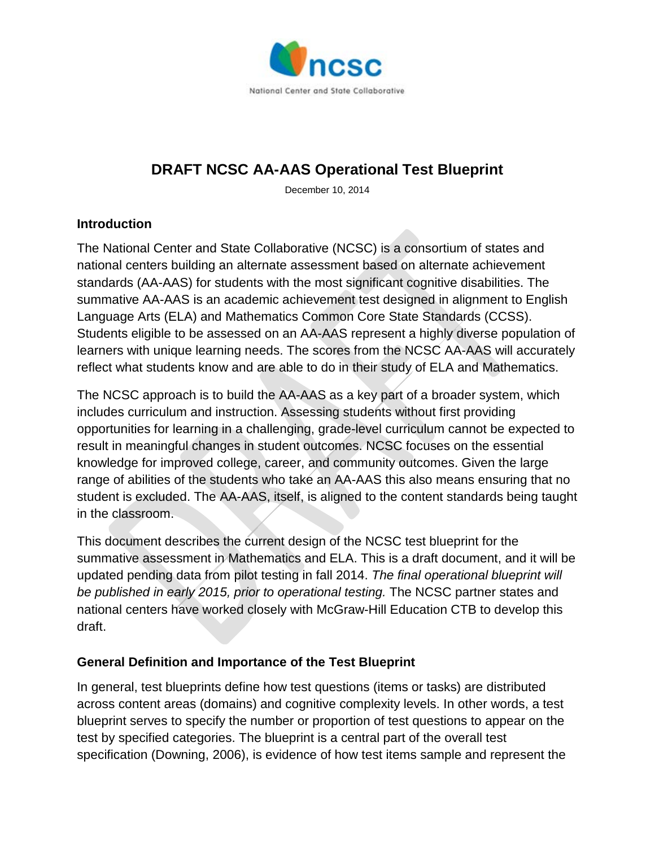

# **DRAFT NCSC AA-AAS Operational Test Blueprint**

December 10, 2014

### **Introduction**

The National Center and State Collaborative (NCSC) is a consortium of states and national centers building an alternate assessment based on alternate achievement standards (AA-AAS) for students with the most significant cognitive disabilities. The summative AA-AAS is an academic achievement test designed in alignment to English Language Arts (ELA) and Mathematics Common Core State Standards (CCSS). Students eligible to be assessed on an AA-AAS represent a highly diverse population of learners with unique learning needs. The scores from the NCSC AA-AAS will accurately reflect what students know and are able to do in their study of ELA and Mathematics.

The NCSC approach is to build the AA-AAS as a key part of a broader system, which includes curriculum and instruction. Assessing students without first providing opportunities for learning in a challenging, grade-level curriculum cannot be expected to result in meaningful changes in student outcomes. NCSC focuses on the essential knowledge for improved college, career, and community outcomes. Given the large range of abilities of the students who take an AA-AAS this also means ensuring that no student is excluded. The AA-AAS, itself, is aligned to the content standards being taught in the classroom.

This document describes the current design of the NCSC test blueprint for the summative assessment in Mathematics and ELA. This is a draft document, and it will be updated pending data from pilot testing in fall 2014. *The final operational blueprint will be published in early 2015, prior to operational testing.* The NCSC partner states and national centers have worked closely with McGraw-Hill Education CTB to develop this draft.

### **General Definition and Importance of the Test Blueprint**

In general, test blueprints define how test questions (items or tasks) are distributed across content areas (domains) and cognitive complexity levels. In other words, a test blueprint serves to specify the number or proportion of test questions to appear on the test by specified categories. The blueprint is a central part of the overall test specification (Downing, 2006), is evidence of how test items sample and represent the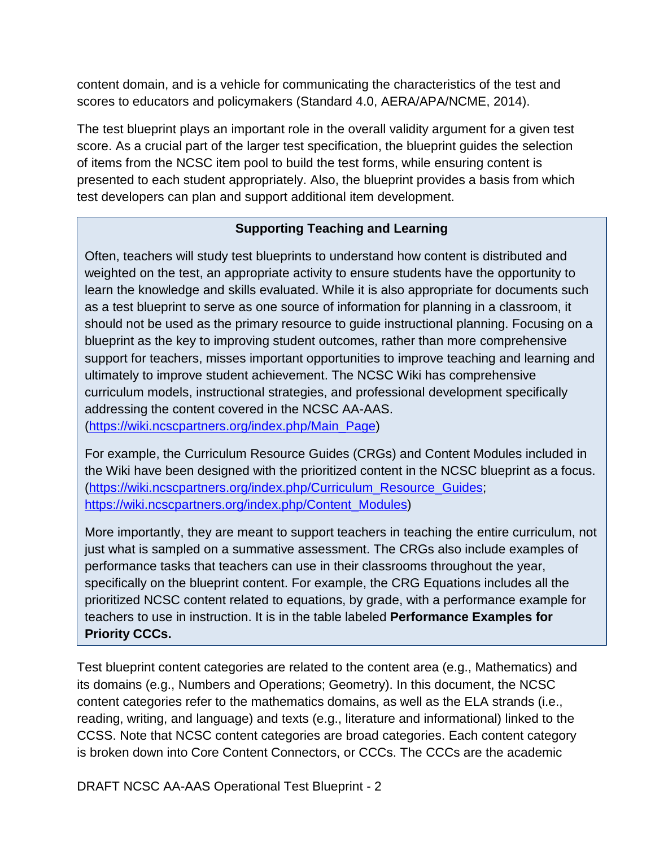content domain, and is a vehicle for communicating the characteristics of the test and scores to educators and policymakers (Standard 4.0, AERA/APA/NCME, 2014).

The test blueprint plays an important role in the overall validity argument for a given test score. As a crucial part of the larger test specification, the blueprint guides the selection of items from the NCSC item pool to build the test forms, while ensuring content is presented to each student appropriately. Also, the blueprint provides a basis from which test developers can plan and support additional item development.

### **Supporting Teaching and Learning**

Often, teachers will study test blueprints to understand how content is distributed and weighted on the test, an appropriate activity to ensure students have the opportunity to learn the knowledge and skills evaluated. While it is also appropriate for documents such as a test blueprint to serve as one source of information for planning in a classroom, it should not be used as the primary resource to guide instructional planning. Focusing on a blueprint as the key to improving student outcomes, rather than more comprehensive support for teachers, misses important opportunities to improve teaching and learning and ultimately to improve student achievement. The NCSC Wiki has comprehensive curriculum models, instructional strategies, and professional development specifically addressing the content covered in the NCSC AA-AAS. [\(https://wiki.ncscpartners.org/index.php/Main\\_Page\)](https://wiki.ncscpartners.org/index.php/Main_Page)

For example, the Curriculum Resource Guides (CRGs) and Content Modules included in the Wiki have been designed with the prioritized content in the NCSC blueprint as a focus. [\(https://wiki.ncscpartners.org/index.php/Curriculum\\_Resource\\_Guides;](https://wiki.ncscpartners.org/index.php/Curriculum_Resource_Guides) [https://wiki.ncscpartners.org/index.php/Content\\_Modules\)](https://wiki.ncscpartners.org/index.php/Content_Modules)

More importantly, they are meant to support teachers in teaching the entire curriculum, not just what is sampled on a summative assessment. The CRGs also include examples of performance tasks that teachers can use in their classrooms throughout the year, specifically on the blueprint content. For example, the CRG Equations includes all the prioritized NCSC content related to equations, by grade, with a performance example for teachers to use in instruction. It is in the table labeled **Performance Examples for Priority CCCs.** 

Test [blueprint content categories are related to the content area](https://wiki.ncscpartners.org/index.php/Curriculum_Resource_Guide:_Equations#3._What_Connectors_to_the_Common_Core_Standards_Are_Addressed_in_Teaching_.22Equations.22.3F) (e.g., Mathematics) and i[ts domains](https://wiki.ncscpartners.org/index.php/Curriculum_Resource_Guide:_Equations#3._What_Connectors_to_the_Common_Core_Standards_Are_Addressed_in_Teaching_.22Equations.22.3F) (e.g., Numbers and Operations; Geometry). In this document, the NCSC content categories refer to the mathematics domains, as well as the ELA strands (i.e., reading, writing, and language) and texts (e.g., literature and informational) linked to the CCSS. Note that NCSC content categories are broad categories. Each content category is broken down into Core Content Connectors, or CCCs. The CCCs are the academic

DRAFT NCSC AA-AAS Operational Test Blueprint - 2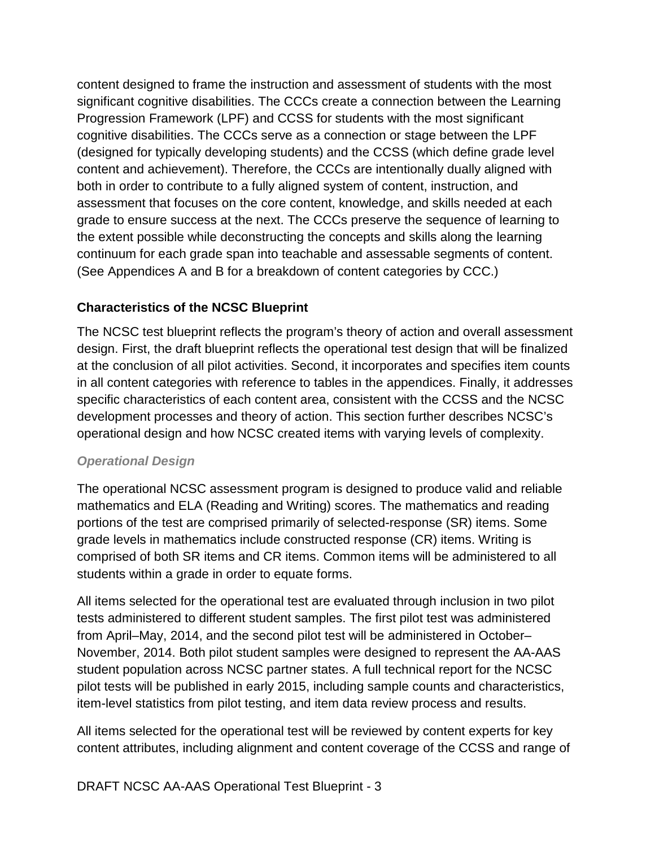content designed to frame the instruction and assessment of students with the most significant cognitive disabilities. The CCCs create a connection between the Learning Progression Framework (LPF) and CCSS for students with the most significant cognitive disabilities. The CCCs serve as a connection or stage between the LPF (designed for typically developing students) and the CCSS (which define grade level content and achievement). Therefore, the CCCs are intentionally dually aligned with both in order to contribute to a fully aligned system of content, instruction, and assessment that focuses on the core content, knowledge, and skills needed at each grade to ensure success at the next. The CCCs preserve the sequence of learning to the extent possible while deconstructing the concepts and skills along the learning continuum for each grade span into teachable and assessable segments of content. (See Appendices A and B for a breakdown of content categories by CCC.)

### **Characteristics of the NCSC Blueprint**

The NCSC test blueprint reflects the program's theory of action and overall assessment design. First, the draft blueprint reflects the operational test design that will be finalized at the conclusion of all pilot activities. Second, it incorporates and specifies item counts in all content categories with reference to tables in the appendices. Finally, it addresses specific characteristics of each content area, consistent with the CCSS and the NCSC development processes and theory of action. This section further describes NCSC's operational design and how NCSC created items with varying levels of complexity.

### *Operational Design*

The operational NCSC assessment program is designed to produce valid and reliable mathematics and ELA (Reading and Writing) scores. The mathematics and reading portions of the test are comprised primarily of selected-response (SR) items. Some grade levels in mathematics include constructed response (CR) items. Writing is comprised of both SR items and CR items. Common items will be administered to all students within a grade in order to equate forms.

All items selected for the operational test are evaluated through inclusion in two pilot tests administered to different student samples. The first pilot test was administered from April–May, 2014, and the second pilot test will be administered in October– November, 2014. Both pilot student samples were designed to represent the AA-AAS student population across NCSC partner states. A full technical report for the NCSC pilot tests will be published in early 2015, including sample counts and characteristics, item-level statistics from pilot testing, and item data review process and results.

All items selected for the operational test will be reviewed by content experts for key content attributes, including alignment and content coverage of the CCSS and range of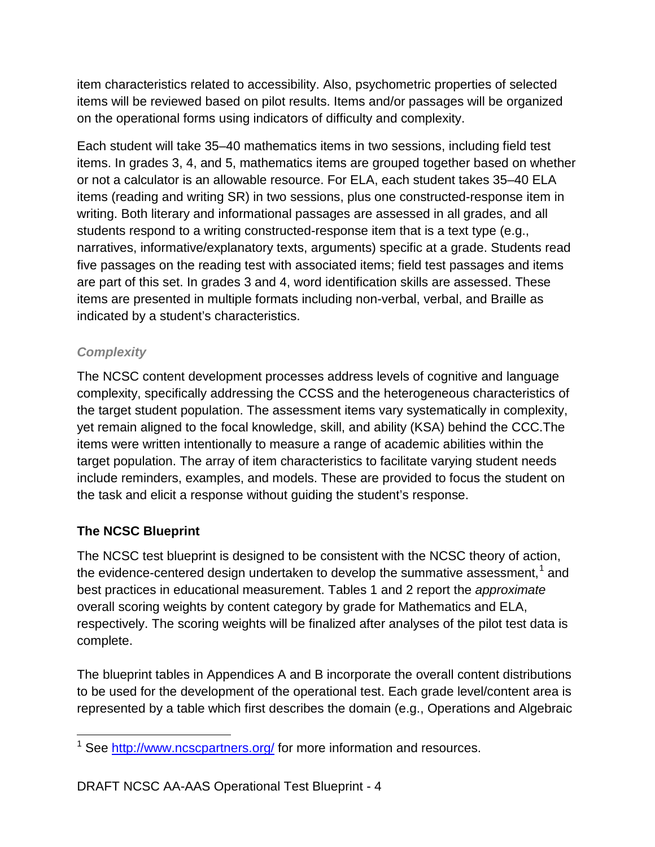item characteristics related to accessibility. Also, psychometric properties of selected items will be reviewed based on pilot results. Items and/or passages will be organized on the operational forms using indicators of difficulty and complexity.

Each student will take 35–40 mathematics items in two sessions, including field test items. In grades 3, 4, and 5, mathematics items are grouped together based on whether or not a calculator is an allowable resource. For ELA, each student takes 35–40 ELA items (reading and writing SR) in two sessions, plus one constructed-response item in writing. Both literary and informational passages are assessed in all grades, and all students respond to a writing constructed-response item that is a text type (e.g., narratives, informative/explanatory texts, arguments) specific at a grade. Students read five passages on the reading test with associated items; field test passages and items are part of this set. In grades 3 and 4, word identification skills are assessed. These items are presented in multiple formats including non-verbal, verbal, and Braille as indicated by a student's characteristics.

## *Complexity*

The NCSC content development processes address levels of cognitive and language complexity, specifically addressing the CCSS and the heterogeneous characteristics of the target student population. The assessment items vary systematically in complexity, yet remain aligned to the focal knowledge, skill, and ability (KSA) behind the CCC.The items were written intentionally to measure a range of academic abilities within the target population. The array of item characteristics to facilitate varying student needs include reminders, examples, and models. These are provided to focus the student on the task and elicit a response without guiding the student's response.

### **The NCSC Blueprint**

The NCSC test blueprint is designed to be consistent with the NCSC theory of action, the evidence-centered design undertaken to develop the summative assessment,<sup>[1](#page-3-0)</sup> and best practices in educational measurement. Tables 1 and 2 report the *approximate* overall scoring weights by content category by grade for Mathematics and ELA, respectively. The scoring weights will be finalized after analyses of the pilot test data is complete.

The blueprint tables in Appendices A and B incorporate the overall content distributions to be used for the development of the operational test. Each grade level/content area is represented by a table which first describes the domain (e.g., Operations and Algebraic

<span id="page-3-0"></span><sup>&</sup>lt;sup>1</sup> See<http://www.ncscpartners.org/> for more information and resources.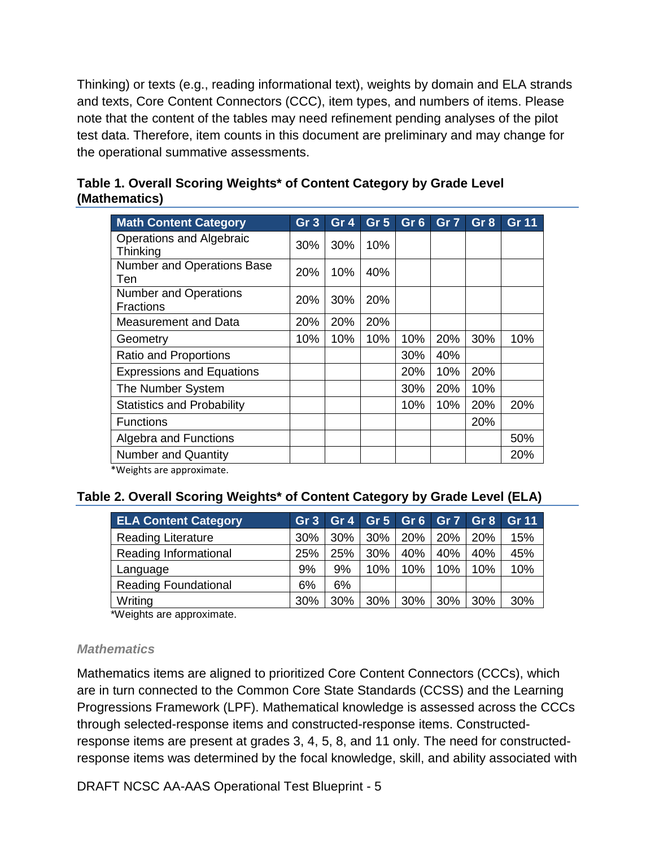Thinking) or texts (e.g., reading informational text), weights by domain and ELA strands and texts, Core Content Connectors (CCC), item types, and numbers of items. Please note that the content of the tables may need refinement pending analyses of the pilot test data. Therefore, item counts in this document are preliminary and may change for the operational summative assessments.

| <b>Math Content Category</b>                                                                         | Gr <sub>3</sub> | Gr <sub>4</sub> | Gr 5       | Gr <sub>6</sub> | Gr <sub>7</sub> | Gr <sub>8</sub> | <b>Gr 11</b> |
|------------------------------------------------------------------------------------------------------|-----------------|-----------------|------------|-----------------|-----------------|-----------------|--------------|
| Operations and Algebraic<br>Thinking                                                                 | 30%             | 30%             | 10%        |                 |                 |                 |              |
| Number and Operations Base<br>Ten                                                                    | 20%             | 10%             | 40%        |                 |                 |                 |              |
| <b>Number and Operations</b><br><b>Fractions</b>                                                     | 20%             | 30%             | <b>20%</b> |                 |                 |                 |              |
| <b>Measurement and Data</b>                                                                          | 20%             | 20%             | 20%        |                 |                 |                 |              |
| Geometry                                                                                             | 10%             | 10%             | 10%        | 10%             | 20%             | 30%             | 10%          |
| <b>Ratio and Proportions</b>                                                                         |                 |                 |            | 30%             | 40%             |                 |              |
| <b>Expressions and Equations</b>                                                                     |                 |                 |            | 20%             | 10%             | 20%             |              |
| The Number System                                                                                    |                 |                 |            | 30%             | 20%             | 10%             |              |
| <b>Statistics and Probability</b>                                                                    |                 |                 |            | 10%             | 10%             | 20%             | 20%          |
| <b>Functions</b>                                                                                     |                 |                 |            |                 |                 | 20%             |              |
| Algebra and Functions                                                                                |                 |                 |            |                 |                 |                 | 50%          |
| <b>Number and Quantity</b>                                                                           |                 |                 |            |                 |                 |                 | 20%          |
| $*U \circ \bullet + \bullet \bullet \bullet \bullet \bullet \bullet \bullet \bullet \bullet \bullet$ |                 |                 |            |                 |                 |                 |              |

|               | Table 1. Overall Scoring Weights* of Content Category by Grade Level |  |
|---------------|----------------------------------------------------------------------|--|
| (Mathematics) |                                                                      |  |

\*Weights are approximate.

### **Table 2. Overall Scoring Weights\* of Content Category by Grade Level (ELA)**

| <b>ELA Content Category</b> | Gr <sub>3</sub> |     | Gr 4 Gr 5 Gr 6 Gr 7 Gr 8 |     |     |     | Gr 11 |
|-----------------------------|-----------------|-----|--------------------------|-----|-----|-----|-------|
| <b>Reading Literature</b>   | 30%             | 30% | 30%                      | 20% | 20% | 20% | 15%   |
| Reading Informational       | 25%             | 25% | 30%                      | 40% | 40% | 40% | 45%   |
| Language                    | 9%              | 9%  | 10%                      | 10% | 10% | 10% | 10%   |
| <b>Reading Foundational</b> | 6%              | 6%  |                          |     |     |     |       |
| Writing                     | 30%             | 30% | 30%                      | 30% | 30% | 30% | 30%   |

\*Weights are approximate.

#### *Mathematics*

Mathematics items are aligned to prioritized Core Content Connectors (CCCs), which are in turn connected to the Common Core State Standards (CCSS) and the Learning Progressions Framework (LPF). Mathematical knowledge is assessed across the CCCs through selected-response items and constructed-response items. Constructedresponse items are present at grades 3, 4, 5, 8, and 11 only. The need for constructedresponse items was determined by the focal knowledge, skill, and ability associated with

DRAFT NCSC AA-AAS Operational Test Blueprint - 5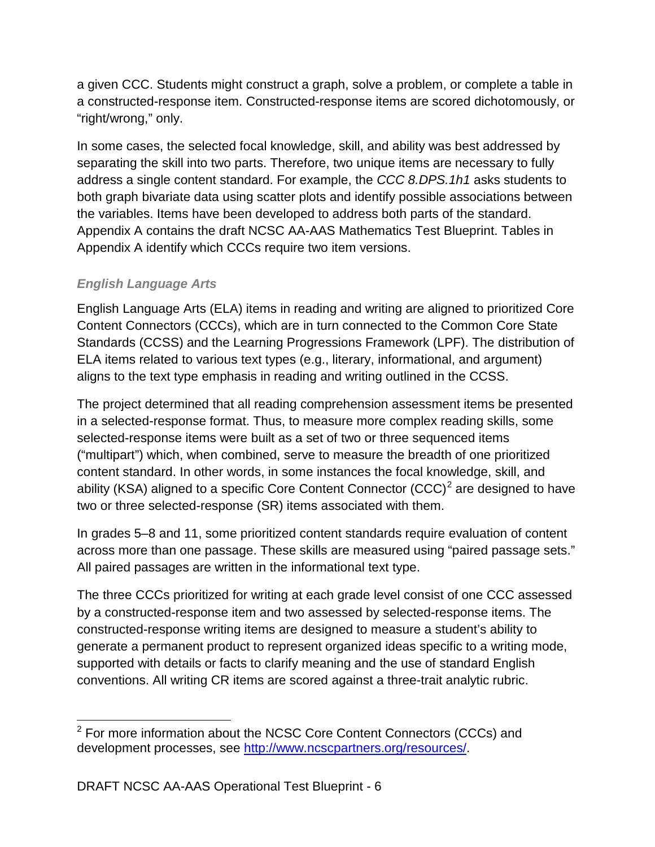a given CCC. Students might construct a graph, solve a problem, or complete a table in a constructed-response item. Constructed-response items are scored dichotomously, or "right/wrong," only.

In some cases, the selected focal knowledge, skill, and ability was best addressed by separating the skill into two parts. Therefore, two unique items are necessary to fully address a single content standard. For example, the *CCC 8.DPS.1h1* asks students to both graph bivariate data using scatter plots and identify possible associations between the variables. Items have been developed to address both parts of the standard. Appendix A contains the draft NCSC AA-AAS Mathematics Test Blueprint. Tables in Appendix A identify which CCCs require two item versions.

### *English Language Arts*

English Language Arts (ELA) items in reading and writing are aligned to prioritized Core Content Connectors (CCCs), which are in turn connected to the Common Core State Standards (CCSS) and the Learning Progressions Framework (LPF). The distribution of ELA items related to various text types (e.g., literary, informational, and argument) aligns to the text type emphasis in reading and writing outlined in the CCSS.

The project determined that all reading comprehension assessment items be presented in a selected-response format. Thus, to measure more complex reading skills, some selected-response items were built as a set of two or three sequenced items ("multipart") which, when combined, serve to measure the breadth of one prioritized content standard. In other words, in some instances the focal knowledge, skill, and ability (KSA) aligned to a specific Core Content Connector  $(CCC)^2$  $(CCC)^2$  are designed to have two or three selected-response (SR) items associated with them.

In grades 5–8 and 11, some prioritized content standards require evaluation of content across more than one passage. These skills are measured using "paired passage sets." All paired passages are written in the informational text type.

The three CCCs prioritized for writing at each grade level consist of one CCC assessed by a constructed-response item and two assessed by selected-response items. The constructed-response writing items are designed to measure a student's ability to generate a permanent product to represent organized ideas specific to a writing mode, supported with details or facts to clarify meaning and the use of standard English conventions. All writing CR items are scored against a three-trait analytic rubric.

<span id="page-5-0"></span> $2$  For more information about the NCSC Core Content Connectors (CCCs) and development processes, see [http://www.ncscpartners.org/resources/.](http://www.ncscpartners.org/resources/)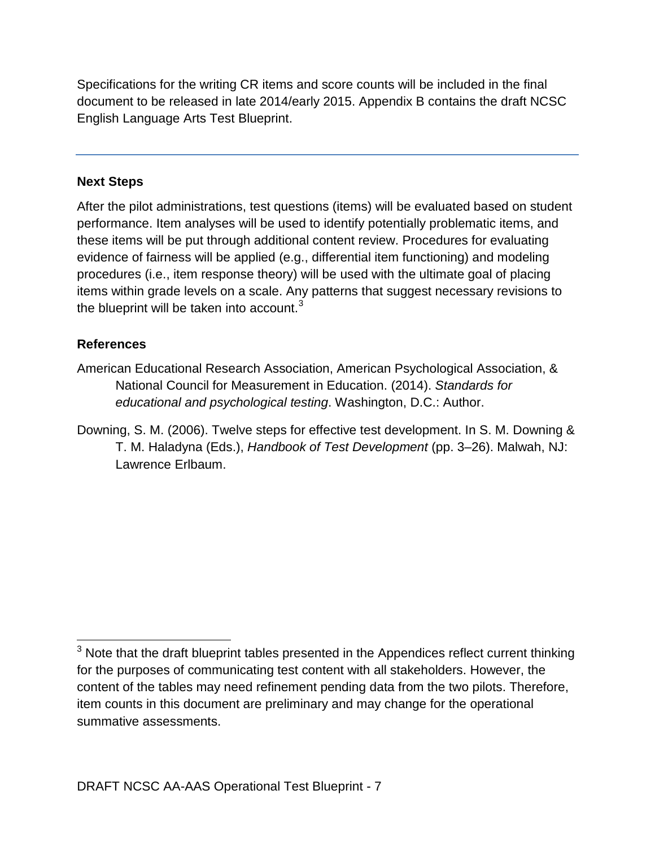Specifications for the writing CR items and score counts will be included in the final document to be released in late 2014/early 2015. Appendix B contains the draft NCSC English Language Arts Test Blueprint.

#### **Next Steps**

After the pilot administrations, test questions (items) will be evaluated based on student performance. Item analyses will be used to identify potentially problematic items, and these items will be put through additional content review. Procedures for evaluating evidence of fairness will be applied (e.g., differential item functioning) and modeling procedures (i.e., item response theory) will be used with the ultimate goal of placing items within grade levels on a scale. Any patterns that suggest necessary revisions to the blueprint will be taken into account. $3$ 

### **References**

l

- American Educational Research Association, American Psychological Association, & National Council for Measurement in Education. (2014). *Standards for educational and psychological testing*. Washington, D.C.: Author.
- Downing, S. M. (2006). Twelve steps for effective test development. In S. M. Downing & T. M. Haladyna (Eds.), *Handbook of Test Development* (pp. 3–26). Malwah, NJ: Lawrence Erlbaum.

<span id="page-6-0"></span> $3$  Note that the draft blueprint tables presented in the Appendices reflect current thinking for the purposes of communicating test content with all stakeholders. However, the content of the tables may need refinement pending data from the two pilots. Therefore, item counts in this document are preliminary and may change for the operational summative assessments.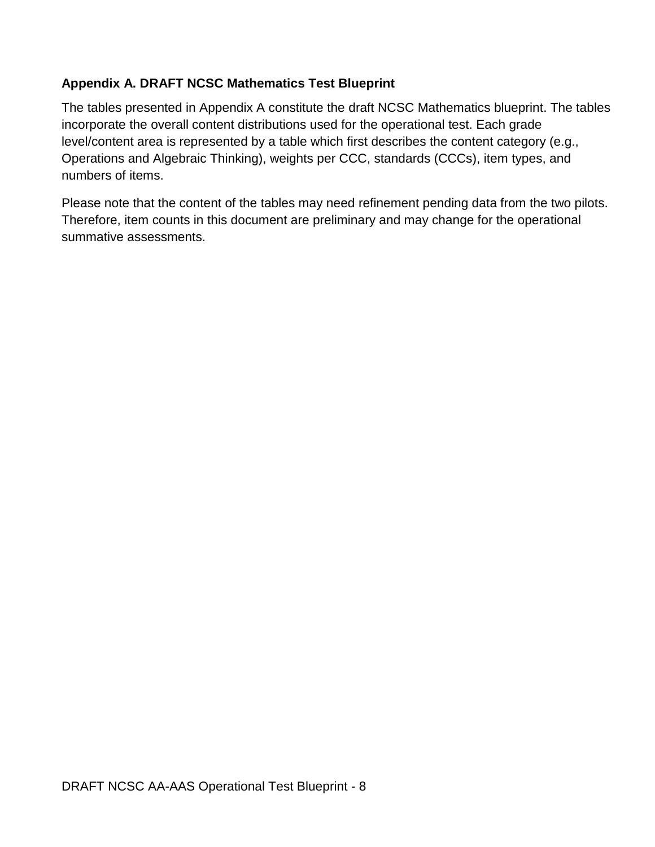### **Appendix A. DRAFT NCSC Mathematics Test Blueprint**

The tables presented in Appendix A constitute the draft NCSC Mathematics blueprint. The tables incorporate the overall content distributions used for the operational test. Each grade level/content area is represented by a table which first describes the content category (e.g., Operations and Algebraic Thinking), weights per CCC, standards (CCCs), item types, and numbers of items.

Please note that the content of the tables may need refinement pending data from the two pilots. Therefore, item counts in this document are preliminary and may change for the operational summative assessments.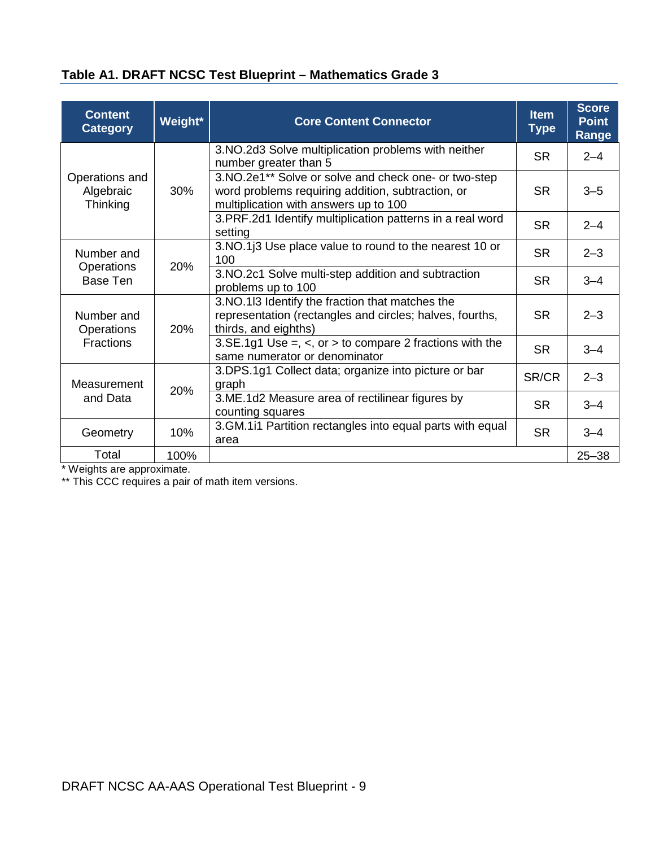| <b>Content</b><br><b>Category</b>       | Weight* | <b>Core Content Connector</b>                                                                                                                      | <b>Item</b><br><b>Type</b> | <b>Score</b><br><b>Point</b><br>Range |
|-----------------------------------------|---------|----------------------------------------------------------------------------------------------------------------------------------------------------|----------------------------|---------------------------------------|
| Operations and<br>Algebraic<br>Thinking |         | 3. NO. 2d3 Solve multiplication problems with neither<br>number greater than 5                                                                     | <b>SR</b>                  | $2 - 4$                               |
|                                         | 30%     | 3.NO.2e1** Solve or solve and check one- or two-step<br>word problems requiring addition, subtraction, or<br>multiplication with answers up to 100 | <b>SR</b>                  | $3 - 5$                               |
|                                         |         | 3. PRF. 2d1 Identify multiplication patterns in a real word<br>setting                                                                             | <b>SR</b>                  | $2 - 4$                               |
| Number and                              |         | 3.NO.1j3 Use place value to round to the nearest 10 or<br>100                                                                                      | <b>SR</b>                  | $2 - 3$                               |
| Operations<br><b>Base Ten</b>           | 20%     | 3.NO.2c1 Solve multi-step addition and subtraction<br>problems up to 100                                                                           | SR.                        | $3 - 4$                               |
| Number and<br>Operations                | 20%     | 3.NO.1I3 Identify the fraction that matches the<br>representation (rectangles and circles; halves, fourths,<br>thirds, and eighths)                | <b>SR</b>                  | $2 - 3$                               |
| <b>Fractions</b>                        |         | 3. SE.1g1 Use =, <, or > to compare 2 fractions with the<br>same numerator or denominator                                                          | <b>SR</b>                  | $3 - 4$                               |
| Measurement                             | 20%     | 3.DPS.1g1 Collect data; organize into picture or bar<br>graph                                                                                      | SR/CR                      | $2 - 3$                               |
| and Data                                |         | 3.ME.1d2 Measure area of rectilinear figures by<br>counting squares                                                                                | <b>SR</b>                  | $3 - 4$                               |
| Geometry                                | 10%     | 3. GM. 111 Partition rectangles into equal parts with equal<br>area                                                                                | <b>SR</b>                  | $3 - 4$                               |
| Total                                   | 100%    |                                                                                                                                                    |                            | $25 - 38$                             |

\* Weights are approximate.

\*\* This CCC requires a pair of math item versions.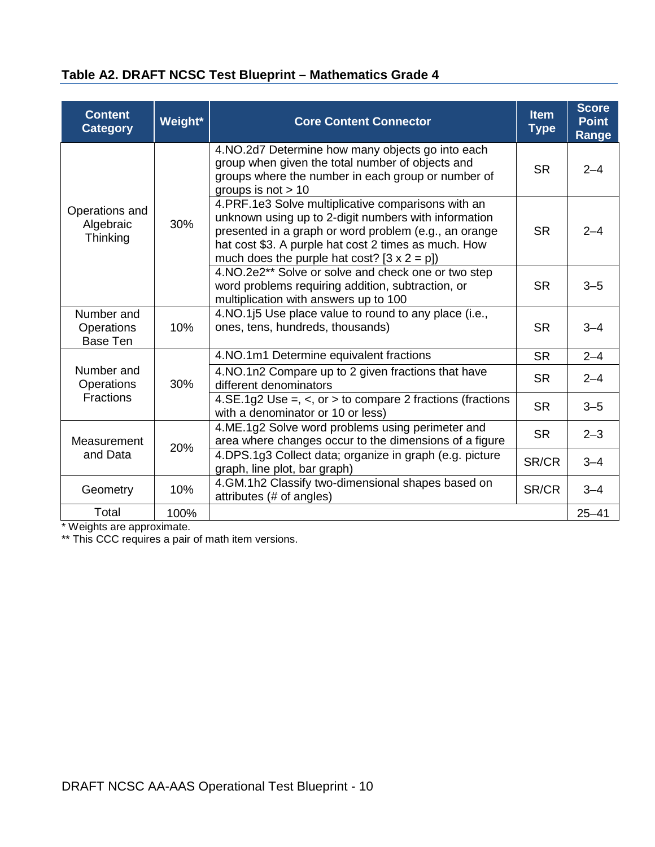| Table A2. DRAFT NCSC Test Blueprint - Mathematics Grade 4 |  |
|-----------------------------------------------------------|--|
|-----------------------------------------------------------|--|

| <b>Content</b><br><b>Category</b>                  | Weight* | <b>Core Content Connector</b>                                                                                                                                                                                                                                                    | <b>Item</b><br><b>Type</b> | <b>Score</b><br><b>Point</b><br>Range |
|----------------------------------------------------|---------|----------------------------------------------------------------------------------------------------------------------------------------------------------------------------------------------------------------------------------------------------------------------------------|----------------------------|---------------------------------------|
| Operations and<br>Algebraic<br>Thinking            |         | 4.NO.2d7 Determine how many objects go into each<br>group when given the total number of objects and<br>groups where the number in each group or number of<br>groups is not $> 10$                                                                                               | <b>SR</b>                  | $2 - 4$                               |
|                                                    | 30%     | 4.PRF.1e3 Solve multiplicative comparisons with an<br>unknown using up to 2-digit numbers with information<br>presented in a graph or word problem (e.g., an orange<br>hat cost \$3. A purple hat cost 2 times as much. How<br>much does the purple hat cost? $[3 \times 2 = p]$ | <b>SR</b>                  | $2 - 4$                               |
|                                                    |         | 4.NO.2e2** Solve or solve and check one or two step<br>word problems requiring addition, subtraction, or<br>multiplication with answers up to 100                                                                                                                                | <b>SR</b>                  | $3 - 5$                               |
| Number and<br><b>Operations</b><br><b>Base Ten</b> | 10%     | 4.NO.1j5 Use place value to round to any place (i.e.,<br>ones, tens, hundreds, thousands)                                                                                                                                                                                        | <b>SR</b>                  | $3 - 4$                               |
|                                                    |         | 4.NO.1m1 Determine equivalent fractions                                                                                                                                                                                                                                          | <b>SR</b>                  | $2 - 4$                               |
| Number and<br><b>Operations</b>                    | 30%     | 4.NO.1n2 Compare up to 2 given fractions that have<br>different denominators                                                                                                                                                                                                     | <b>SR</b>                  | $2 - 4$                               |
| <b>Fractions</b>                                   |         | 4.SE.1g2 Use =, <, or > to compare 2 fractions (fractions<br>with a denominator or 10 or less)                                                                                                                                                                                   | <b>SR</b>                  | $3 - 5$                               |
| Measurement                                        | 20%     | 4.ME.1g2 Solve word problems using perimeter and<br>area where changes occur to the dimensions of a figure                                                                                                                                                                       | <b>SR</b>                  | $2 - 3$                               |
| and Data                                           |         | 4.DPS.1g3 Collect data; organize in graph (e.g. picture<br>graph, line plot, bar graph)                                                                                                                                                                                          | SR/CR                      | $3 - 4$                               |
| Geometry                                           | 10%     | 4.GM.1h2 Classify two-dimensional shapes based on<br>attributes (# of angles)                                                                                                                                                                                                    | SR/CR                      | $3 - 4$                               |
| Total                                              | 100%    |                                                                                                                                                                                                                                                                                  |                            | $25 - 41$                             |

\* Weights are approximate.

\*\* This CCC requires a pair of math item versions.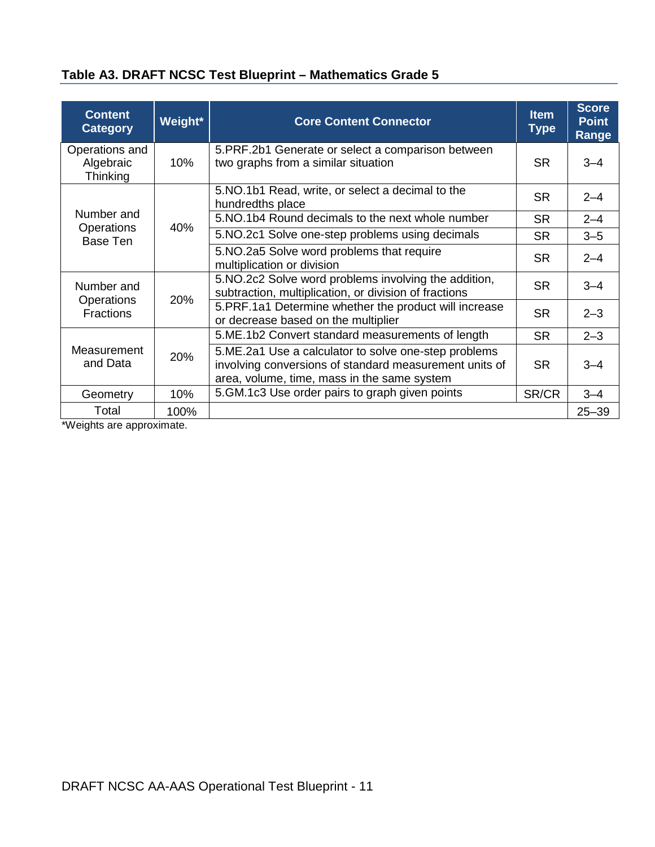## **Table A3. DRAFT NCSC Test Blueprint – Mathematics Grade 5**

| <b>Content</b><br><b>Category</b>       | Weight* | <b>Core Content Connector</b>                                                                                                                                 | <b>Item</b><br>Type | <b>Score</b><br><b>Point</b><br>Range |
|-----------------------------------------|---------|---------------------------------------------------------------------------------------------------------------------------------------------------------------|---------------------|---------------------------------------|
| Operations and<br>Algebraic<br>Thinking | 10%     | 5. PRF. 2b1 Generate or select a comparison between<br>two graphs from a similar situation                                                                    | <b>SR</b>           | $3 - 4$                               |
|                                         |         | 5. NO. 1b1 Read, write, or select a decimal to the<br>hundredths place                                                                                        | <b>SR</b>           | $2 - 4$                               |
| Number and                              | 40%     | 5.NO.1b4 Round decimals to the next whole number                                                                                                              | <b>SR</b>           | $2 - 4$                               |
| Operations<br>Base Ten                  |         | 5.NO.2c1 Solve one-step problems using decimals                                                                                                               | <b>SR</b>           | $3 - 5$                               |
|                                         |         | 5.NO.2a5 Solve word problems that require<br>multiplication or division                                                                                       | <b>SR</b>           | $2 - 4$                               |
| Number and                              | 20%     | 5.NO.2c2 Solve word problems involving the addition,<br>subtraction, multiplication, or division of fractions                                                 | <b>SR</b>           | $3 - 4$                               |
| Operations<br><b>Fractions</b>          |         | 5.PRF.1a1 Determine whether the product will increase<br>or decrease based on the multiplier                                                                  | <b>SR</b>           | $2 - 3$                               |
|                                         |         | 5.ME.1b2 Convert standard measurements of length                                                                                                              | <b>SR</b>           | $2 - 3$                               |
| Measurement<br>and Data                 | 20%     | 5.ME.2a1 Use a calculator to solve one-step problems<br>involving conversions of standard measurement units of<br>area, volume, time, mass in the same system | <b>SR</b>           | $3 - 4$                               |
| Geometry                                | 10%     | 5. GM. 1c3 Use order pairs to graph given points                                                                                                              | SR/CR               | $3 - 4$                               |
| Total<br>.                              | 100%    |                                                                                                                                                               |                     | $25 - 39$                             |

\*Weights are approximate.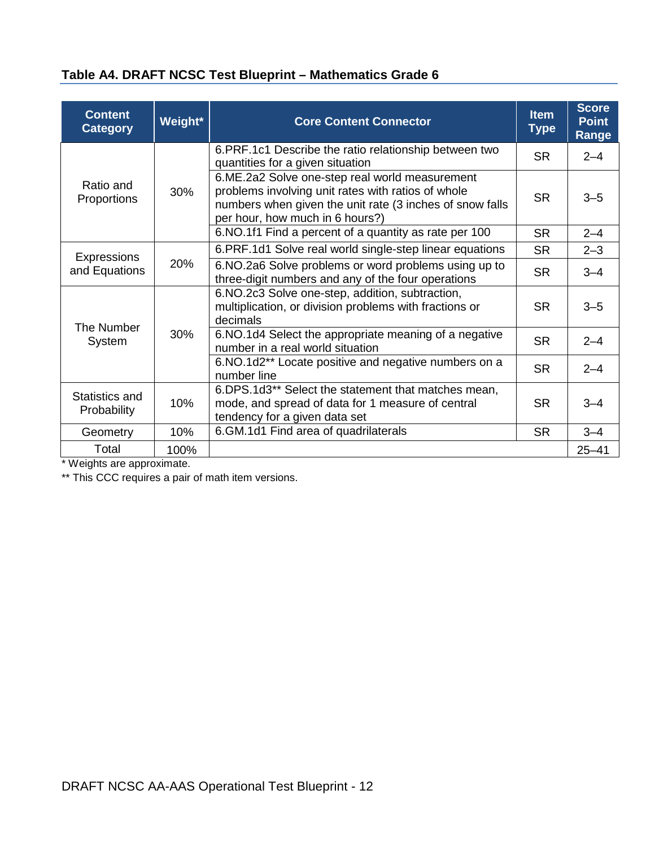### **Table A4. DRAFT NCSC Test Blueprint – Mathematics Grade 6**

| <b>Content</b><br><b>Category</b> | Weight* | <b>Core Content Connector</b>                                                                                                                                                                       | <b>Item</b><br><b>Type</b> | <b>Score</b><br><b>Point</b><br>Range                                                |
|-----------------------------------|---------|-----------------------------------------------------------------------------------------------------------------------------------------------------------------------------------------------------|----------------------------|--------------------------------------------------------------------------------------|
| Ratio and<br>Proportions          |         | 6. PRF. 1c1 Describe the ratio relationship between two<br>quantities for a given situation                                                                                                         | <b>SR</b>                  | $2 - 4$                                                                              |
|                                   | 30%     | 6.ME.2a2 Solve one-step real world measurement<br>problems involving unit rates with ratios of whole<br>numbers when given the unit rate (3 inches of snow falls<br>per hour, how much in 6 hours?) | <b>SR</b>                  | $3 - 5$                                                                              |
|                                   |         | 6.NO.1f1 Find a percent of a quantity as rate per 100                                                                                                                                               | <b>SR</b>                  | $2 - 4$<br>$2 - 3$<br>$3 - 4$<br>$3 - 5$<br>$2 - 4$<br>$2 - 4$<br>$3 - 4$<br>$3 - 4$ |
| Expressions<br>and Equations      |         | 6. PRF. 1d1 Solve real world single-step linear equations                                                                                                                                           | <b>SR</b>                  |                                                                                      |
|                                   | 20%     | 6.NO.2a6 Solve problems or word problems using up to<br>three-digit numbers and any of the four operations                                                                                          | <b>SR</b>                  |                                                                                      |
|                                   |         | 6.NO.2c3 Solve one-step, addition, subtraction,<br>multiplication, or division problems with fractions or<br>decimals                                                                               | <b>SR</b>                  |                                                                                      |
| The Number<br>System              | 30%     | 6.NO.1d4 Select the appropriate meaning of a negative<br>number in a real world situation                                                                                                           | <b>SR</b>                  |                                                                                      |
|                                   |         | 6.NO.1d2** Locate positive and negative numbers on a<br>number line                                                                                                                                 | <b>SR</b>                  |                                                                                      |
| Statistics and<br>Probability     | 10%     | 6.DPS.1d3** Select the statement that matches mean,<br>mode, and spread of data for 1 measure of central<br>tendency for a given data set                                                           | <b>SR</b>                  |                                                                                      |
| Geometry                          | 10%     | 6.GM.1d1 Find area of quadrilaterals                                                                                                                                                                | <b>SR</b>                  |                                                                                      |
| Total                             | 100%    |                                                                                                                                                                                                     |                            | $25 - 41$                                                                            |

\* Weights are approximate.

\*\* This CCC requires a pair of math item versions.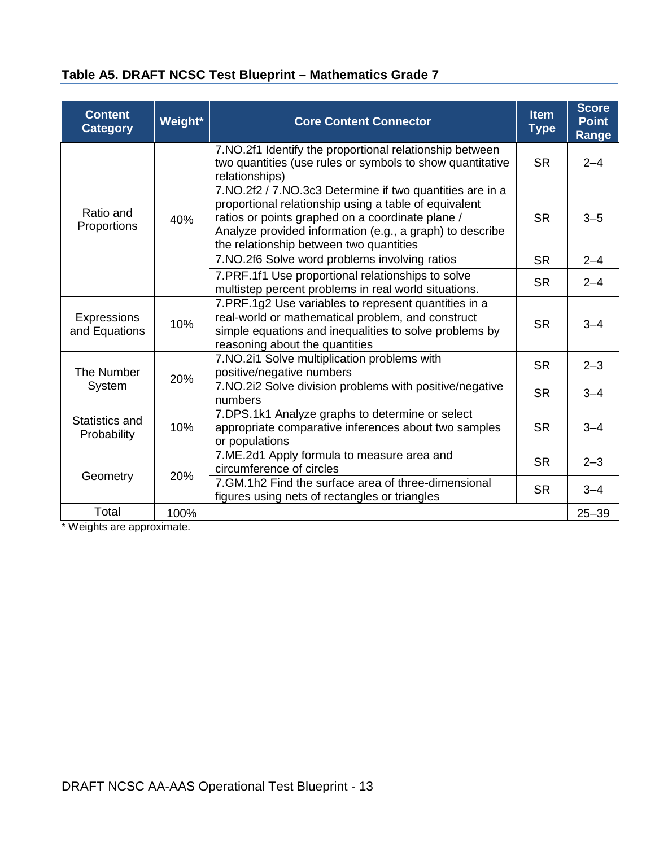## **Table A5. DRAFT NCSC Test Blueprint – Mathematics Grade 7**

| <b>Content</b><br><b>Category</b> | Weight* | <b>Core Content Connector</b>                                                                                                                                                                                                                                                | <b>Item</b><br><b>Type</b> | <b>Score</b><br><b>Point</b><br>Range |
|-----------------------------------|---------|------------------------------------------------------------------------------------------------------------------------------------------------------------------------------------------------------------------------------------------------------------------------------|----------------------------|---------------------------------------|
| Ratio and<br><b>Proportions</b>   |         | 7. NO. 2f1 Identify the proportional relationship between<br>two quantities (use rules or symbols to show quantitative<br>relationships)                                                                                                                                     | <b>SR</b>                  | $2 - 4$                               |
|                                   | 40%     | 7.NO.2f2 / 7.NO.3c3 Determine if two quantities are in a<br>proportional relationship using a table of equivalent<br>ratios or points graphed on a coordinate plane /<br>Analyze provided information (e.g., a graph) to describe<br>the relationship between two quantities | <b>SR</b>                  | $3 - 5$                               |
|                                   |         | 7.NO.2f6 Solve word problems involving ratios                                                                                                                                                                                                                                | <b>SR</b>                  | $2 - 4$                               |
|                                   |         | 7.PRF.1f1 Use proportional relationships to solve<br>multistep percent problems in real world situations.                                                                                                                                                                    | <b>SR</b>                  | $2 - 4$                               |
| Expressions<br>and Equations      | 10%     | 7.PRF.1g2 Use variables to represent quantities in a<br>real-world or mathematical problem, and construct<br>simple equations and inequalities to solve problems by<br>reasoning about the quantities                                                                        | <b>SR</b>                  | $3 - 4$                               |
| The Number                        | 20%     | 7.NO.2i1 Solve multiplication problems with<br>positive/negative numbers                                                                                                                                                                                                     | <b>SR</b>                  | $2 - 3$                               |
| System                            |         | 7.NO.2i2 Solve division problems with positive/negative<br>numbers                                                                                                                                                                                                           | <b>SR</b>                  | $3 - 4$                               |
| Statistics and<br>Probability     | 10%     | 7.DPS.1k1 Analyze graphs to determine or select<br>appropriate comparative inferences about two samples<br>or populations                                                                                                                                                    | <b>SR</b>                  | $3 - 4$                               |
| Geometry                          | 20%     | 7.ME.2d1 Apply formula to measure area and<br>circumference of circles                                                                                                                                                                                                       | <b>SR</b>                  | $2 - 3$                               |
|                                   |         | 7.GM.1h2 Find the surface area of three-dimensional<br>figures using nets of rectangles or triangles                                                                                                                                                                         | <b>SR</b>                  | $3 - 4$                               |
| Total                             | 100%    |                                                                                                                                                                                                                                                                              |                            | $25 - 39$                             |

\* Weights are approximate.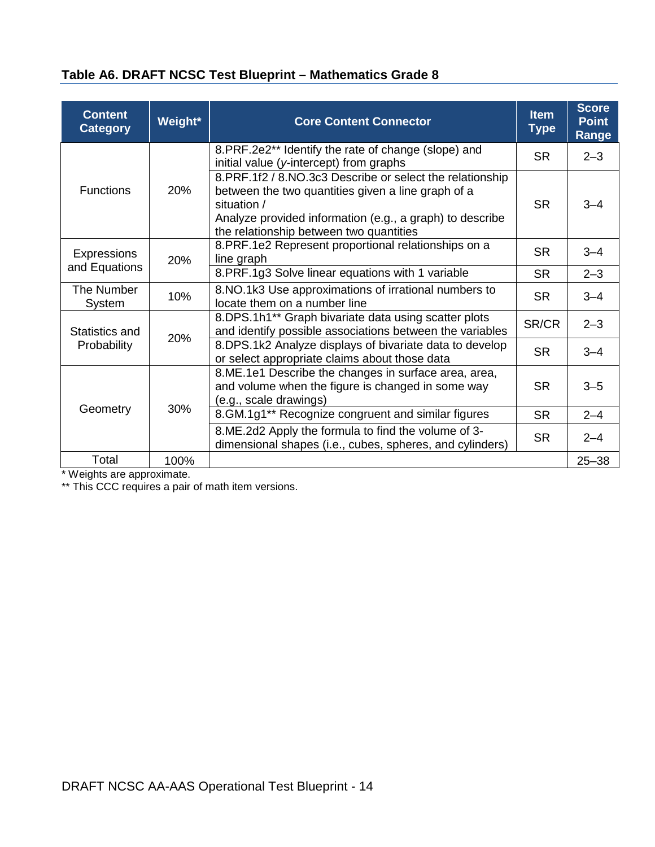### **Table A6. DRAFT NCSC Test Blueprint – Mathematics Grade 8**

| <b>Content</b><br><b>Category</b> | Weight* | <b>Core Content Connector</b>                                                                                                                                                                                                        | <b>Item</b><br>Type | <b>Score</b><br><b>Point</b><br>Range |
|-----------------------------------|---------|--------------------------------------------------------------------------------------------------------------------------------------------------------------------------------------------------------------------------------------|---------------------|---------------------------------------|
|                                   |         | 8. PRF. 2e2 <sup>**</sup> Identify the rate of change (slope) and<br>initial value (y-intercept) from graphs                                                                                                                         | <b>SR</b>           | $2 - 3$                               |
| <b>Functions</b>                  | 20%     | 8.PRF.1f2 / 8.NO.3c3 Describe or select the relationship<br>between the two quantities given a line graph of a<br>situation /<br>Analyze provided information (e.g., a graph) to describe<br>the relationship between two quantities | <b>SR</b>           | $3 - 4$                               |
| Expressions                       | 20%     | 8.PRF.1e2 Represent proportional relationships on a<br>line graph                                                                                                                                                                    | <b>SR</b>           | $3 - 4$                               |
| and Equations                     |         | 8.PRF.1g3 Solve linear equations with 1 variable                                                                                                                                                                                     | <b>SR</b>           | $2 - 3$                               |
| The Number<br>System              | 10%     | 8.NO.1k3 Use approximations of irrational numbers to<br>locate them on a number line                                                                                                                                                 | <b>SR</b>           | $3 - 4$                               |
| Statistics and                    | 20%     | 8.DPS.1h1** Graph bivariate data using scatter plots<br>and identify possible associations between the variables                                                                                                                     | SR/CR               | $2 - 3$                               |
| Probability                       |         | 8.DPS.1k2 Analyze displays of bivariate data to develop<br>or select appropriate claims about those data                                                                                                                             | <b>SR</b>           | $3 - 4$                               |
| Geometry                          |         | 8.ME.1e1 Describe the changes in surface area, area,<br>and volume when the figure is changed in some way<br>(e.g., scale drawings)                                                                                                  | <b>SR</b>           | $3 - 5$                               |
|                                   | 30%     | 8. GM. 1g1** Recognize congruent and similar figures                                                                                                                                                                                 | <b>SR</b>           | $2 - 4$                               |
|                                   |         | 8.ME.2d2 Apply the formula to find the volume of 3-<br>dimensional shapes (i.e., cubes, spheres, and cylinders)                                                                                                                      | <b>SR</b>           | $2 - 4$                               |
| Total                             | 100%    |                                                                                                                                                                                                                                      |                     | $25 - 38$                             |

\* Weights are approximate.

\*\* This CCC requires a pair of math item versions.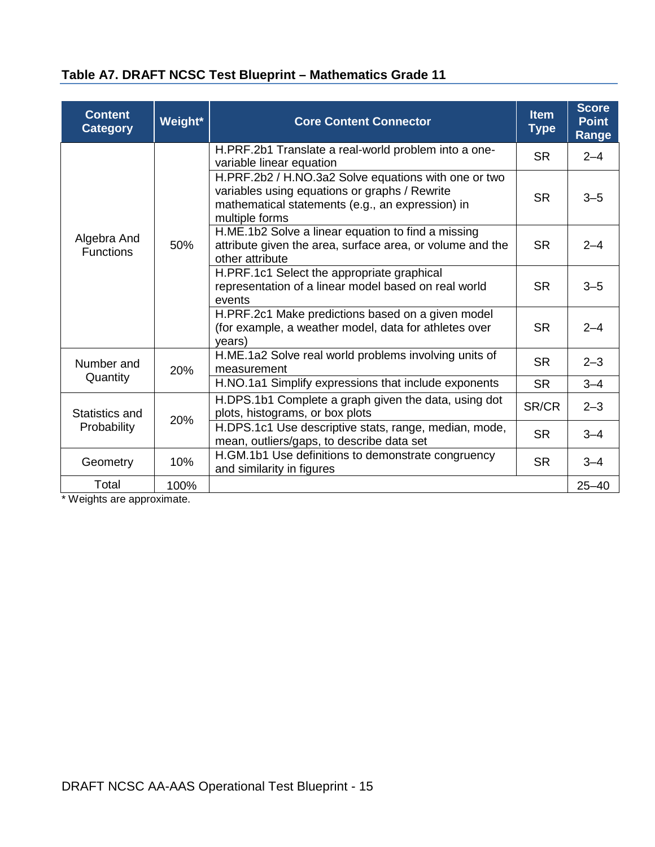## **Table A7. DRAFT NCSC Test Blueprint – Mathematics Grade 11**

| <b>Content</b><br><b>Category</b> | Weight* | <b>Core Content Connector</b>                                                                                                                                               | <b>Item</b><br><b>Type</b> | <b>Score</b><br><b>Point</b><br>Range |
|-----------------------------------|---------|-----------------------------------------------------------------------------------------------------------------------------------------------------------------------------|----------------------------|---------------------------------------|
| Algebra And<br><b>Functions</b>   |         | H.PRF.2b1 Translate a real-world problem into a one-<br>variable linear equation                                                                                            | <b>SR</b>                  | $2 - 4$                               |
|                                   |         | H.PRF.2b2 / H.NO.3a2 Solve equations with one or two<br>variables using equations or graphs / Rewrite<br>mathematical statements (e.g., an expression) in<br>multiple forms | <b>SR</b>                  | $3 - 5$                               |
|                                   | 50%     | H.ME.1b2 Solve a linear equation to find a missing<br>attribute given the area, surface area, or volume and the<br>other attribute                                          | <b>SR</b>                  | $2 - 4$                               |
|                                   |         | H.PRF.1c1 Select the appropriate graphical<br>representation of a linear model based on real world<br>events                                                                | <b>SR</b>                  | $3 - 5$                               |
|                                   |         | H.PRF.2c1 Make predictions based on a given model<br>(for example, a weather model, data for athletes over<br>years)                                                        | <b>SR</b>                  | $2 - 4$                               |
| Number and                        | 20%     | H.ME.1a2 Solve real world problems involving units of<br>measurement                                                                                                        | <b>SR</b>                  | $2 - 3$                               |
| Quantity                          |         | H.NO.1a1 Simplify expressions that include exponents                                                                                                                        | <b>SR</b>                  | $3 - 4$                               |
| Statistics and                    | 20%     | H.DPS.1b1 Complete a graph given the data, using dot<br>plots, histograms, or box plots                                                                                     | SR/CR                      | $2 - 3$                               |
| Probability                       |         | H.DPS.1c1 Use descriptive stats, range, median, mode,<br>mean, outliers/gaps, to describe data set                                                                          | <b>SR</b>                  | $3 - 4$                               |
| Geometry                          | 10%     | H.GM.1b1 Use definitions to demonstrate congruency<br>and similarity in figures                                                                                             | <b>SR</b>                  | $3 - 4$                               |
| Total                             | 100%    |                                                                                                                                                                             |                            | $25 - 40$                             |

\* Weights are approximate.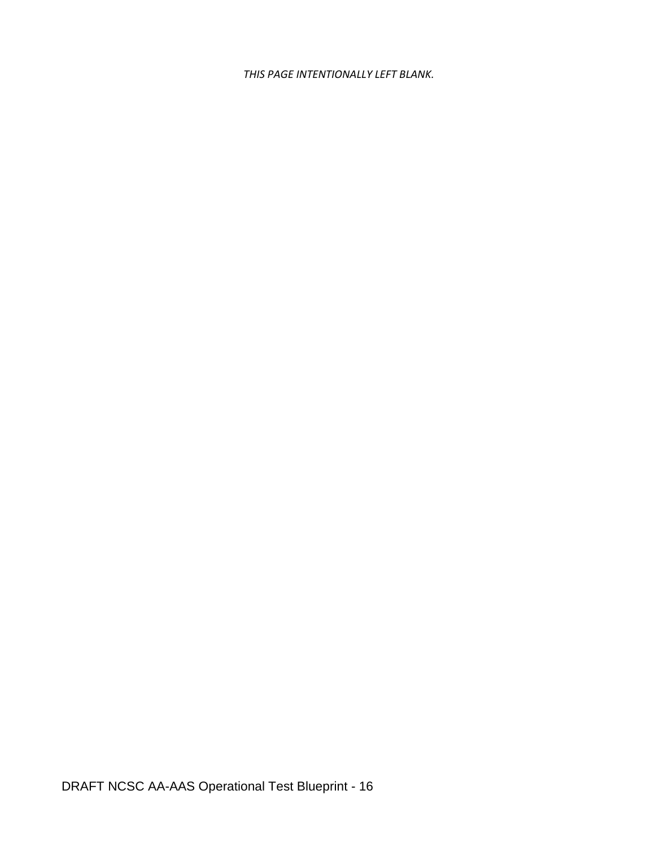*THIS PAGE INTENTIONALLY LEFT BLANK.*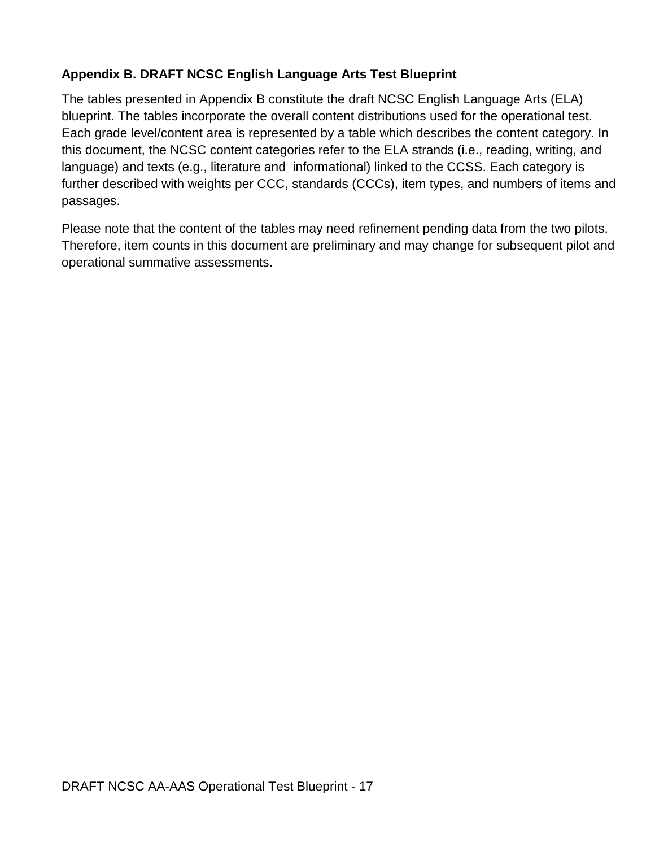### **Appendix B. DRAFT NCSC English Language Arts Test Blueprint**

The tables presented in Appendix B constitute the draft NCSC English Language Arts (ELA) blueprint. The tables incorporate the overall content distributions used for the operational test. Each grade level/content area is represented by a table which describes the content category. In this document, the NCSC content categories refer to the ELA strands (i.e., reading, writing, and language) and texts (e.g., literature and informational) linked to the CCSS. Each category is further described with weights per CCC, standards (CCCs), item types, and numbers of items and passages.

Please note that the content of the tables may need refinement pending data from the two pilots. Therefore, item counts in this document are preliminary and may change for subsequent pilot and operational summative assessments.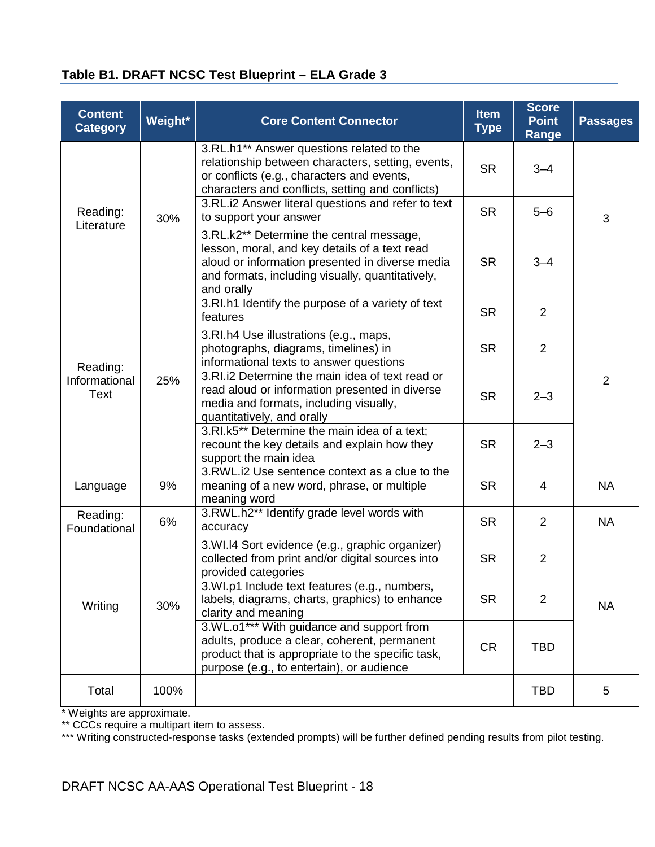### **Table B1. DRAFT NCSC Test Blueprint – ELA Grade 3**

| <b>Content</b><br><b>Category</b> | Weight* | <b>Core Content Connector</b>                                                                                                                                                                                  | <b>Item</b><br><b>Type</b> | <b>Score</b><br><b>Point</b><br>Range | <b>Passages</b> |
|-----------------------------------|---------|----------------------------------------------------------------------------------------------------------------------------------------------------------------------------------------------------------------|----------------------------|---------------------------------------|-----------------|
| Reading:<br>Literature            | 30%     | 3.RL.h1** Answer questions related to the<br>relationship between characters, setting, events,<br>or conflicts (e.g., characters and events,<br>characters and conflicts, setting and conflicts)               | <b>SR</b>                  | $3 - 4$                               | 3               |
|                                   |         | 3.RL.i2 Answer literal questions and refer to text<br>to support your answer                                                                                                                                   | <b>SR</b>                  | $5 - 6$                               |                 |
|                                   |         | 3.RL.k2** Determine the central message,<br>lesson, moral, and key details of a text read<br>aloud or information presented in diverse media<br>and formats, including visually, quantitatively,<br>and orally | <b>SR</b>                  | $3 - 4$                               |                 |
|                                   |         | 3.RI.h1 Identify the purpose of a variety of text<br>features                                                                                                                                                  | <b>SR</b>                  | 2                                     |                 |
| Reading:                          | 25%     | 3.RI.h4 Use illustrations (e.g., maps,<br>photographs, diagrams, timelines) in<br>informational texts to answer questions                                                                                      | <b>SR</b>                  | $\overline{2}$                        | 2               |
| Informational<br>Text             |         | 3.RLi2 Determine the main idea of text read or<br>read aloud or information presented in diverse<br>media and formats, including visually,<br>quantitatively, and orally                                       | <b>SR</b>                  | $2 - 3$                               |                 |
|                                   |         | 3.RI.k5** Determine the main idea of a text;<br>recount the key details and explain how they<br>support the main idea                                                                                          | <b>SR</b>                  | $2 - 3$                               |                 |
| Language                          | 9%      | 3. RWL 2 Use sentence context as a clue to the<br>meaning of a new word, phrase, or multiple<br>meaning word                                                                                                   | <b>SR</b>                  | $\overline{4}$                        | <b>NA</b>       |
| Reading:<br>Foundational          | 6%      | 3.RWL.h2** Identify grade level words with<br>accuracy                                                                                                                                                         | <b>SR</b>                  | $\overline{2}$                        | <b>NA</b>       |
| Writing                           | 30%     | 3.WI.I4 Sort evidence (e.g., graphic organizer)<br>collected from print and/or digital sources into<br>provided categories                                                                                     | <b>SR</b>                  | 2                                     |                 |
|                                   |         | 3. WI.p1 Include text features (e.g., numbers,<br>labels, diagrams, charts, graphics) to enhance<br>clarity and meaning                                                                                        | <b>SR</b>                  | 2                                     | <b>NA</b>       |
|                                   |         | 3.WL.o1*** With guidance and support from<br>adults, produce a clear, coherent, permanent<br>product that is appropriate to the specific task,<br>purpose (e.g., to entertain), or audience                    | <b>CR</b>                  | <b>TBD</b>                            |                 |
| Total                             | 100%    |                                                                                                                                                                                                                |                            | <b>TBD</b>                            | 5               |

\* Weights are approximate.

\*\* CCCs require a multipart item to assess.

\*\*\* Writing constructed-response tasks (extended prompts) will be further defined pending results from pilot testing.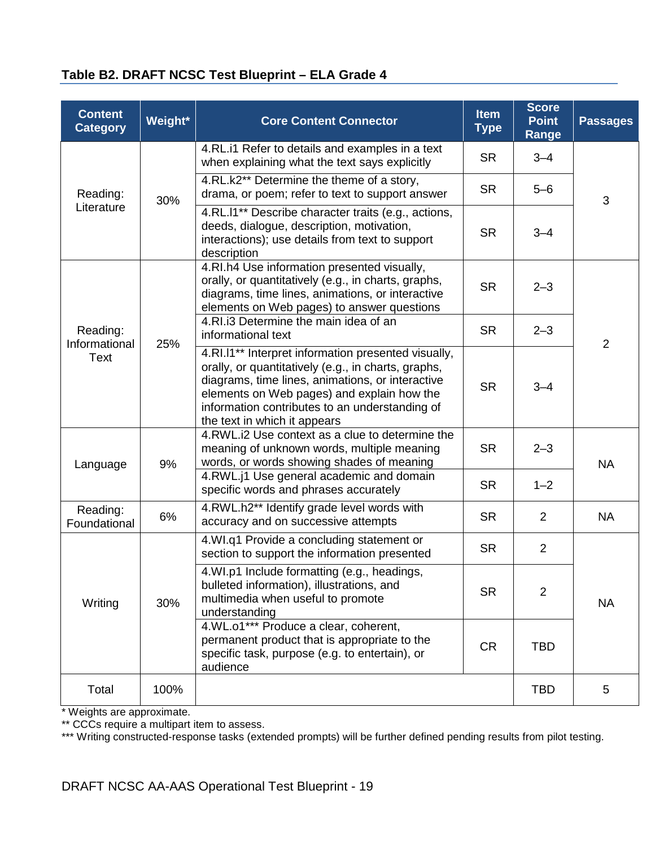### **Table B2. DRAFT NCSC Test Blueprint – ELA Grade 4**

| <b>Content</b><br><b>Category</b> | Weight* | <b>Core Content Connector</b>                                                                                                                                                                                                                                                                  | <b>Item</b><br><b>Type</b> | <b>Score</b><br><b>Point</b><br>Range | <b>Passages</b> |
|-----------------------------------|---------|------------------------------------------------------------------------------------------------------------------------------------------------------------------------------------------------------------------------------------------------------------------------------------------------|----------------------------|---------------------------------------|-----------------|
| Reading:<br>Literature            |         | 4.RL.i1 Refer to details and examples in a text<br>when explaining what the text says explicitly                                                                                                                                                                                               | <b>SR</b>                  | $3 - 4$                               | 3               |
|                                   | 30%     | 4.RL.k2** Determine the theme of a story,<br>drama, or poem; refer to text to support answer                                                                                                                                                                                                   | <b>SR</b>                  | $5 - 6$                               |                 |
|                                   |         | 4.RL.I1** Describe character traits (e.g., actions,<br>deeds, dialogue, description, motivation,<br>interactions); use details from text to support<br>description                                                                                                                             | <b>SR</b>                  | $3 - 4$                               |                 |
|                                   |         | 4.RI.h4 Use information presented visually,<br>orally, or quantitatively (e.g., in charts, graphs,<br>diagrams, time lines, animations, or interactive<br>elements on Web pages) to answer questions                                                                                           | <b>SR</b>                  | $2 - 3$                               | $\overline{2}$  |
| Reading:<br>Informational         | 25%     | 4.RI.i3 Determine the main idea of an<br>informational text                                                                                                                                                                                                                                    | <b>SR</b>                  | $2 - 3$                               |                 |
| <b>Text</b>                       |         | 4.RI.I1** Interpret information presented visually,<br>orally, or quantitatively (e.g., in charts, graphs,<br>diagrams, time lines, animations, or interactive<br>elements on Web pages) and explain how the<br>information contributes to an understanding of<br>the text in which it appears | <b>SR</b>                  | $3 - 4$                               |                 |
| Language                          | 9%      | 4.RWL.i2 Use context as a clue to determine the<br>meaning of unknown words, multiple meaning<br>words, or words showing shades of meaning                                                                                                                                                     | <b>SR</b>                  | $2 - 3$                               | <b>NA</b>       |
|                                   |         | 4.RWL.j1 Use general academic and domain<br>specific words and phrases accurately                                                                                                                                                                                                              | <b>SR</b>                  | $1 - 2$                               |                 |
| Reading:<br>Foundational          | 6%      | 4.RWL.h2** Identify grade level words with<br>accuracy and on successive attempts                                                                                                                                                                                                              | <b>SR</b>                  | 2                                     | <b>NA</b>       |
| Writing                           | 30%     | 4. WI. q1 Provide a concluding statement or<br>section to support the information presented                                                                                                                                                                                                    | <b>SR</b>                  | 2                                     |                 |
|                                   |         | 4. WI.p1 Include formatting (e.g., headings,<br>bulleted information), illustrations, and<br>multimedia when useful to promote<br>understanding                                                                                                                                                | <b>SR</b>                  | $\overline{2}$                        | <b>NA</b>       |
|                                   |         | 4.WL.o1*** Produce a clear, coherent,<br>permanent product that is appropriate to the<br>specific task, purpose (e.g. to entertain), or<br>audience                                                                                                                                            | <b>CR</b>                  | <b>TBD</b>                            |                 |
| Total                             | 100%    |                                                                                                                                                                                                                                                                                                |                            | <b>TBD</b>                            | 5               |

\* Weights are approximate.

\*\* CCCs require a multipart item to assess.

\*\*\* Writing constructed-response tasks (extended prompts) will be further defined pending results from pilot testing.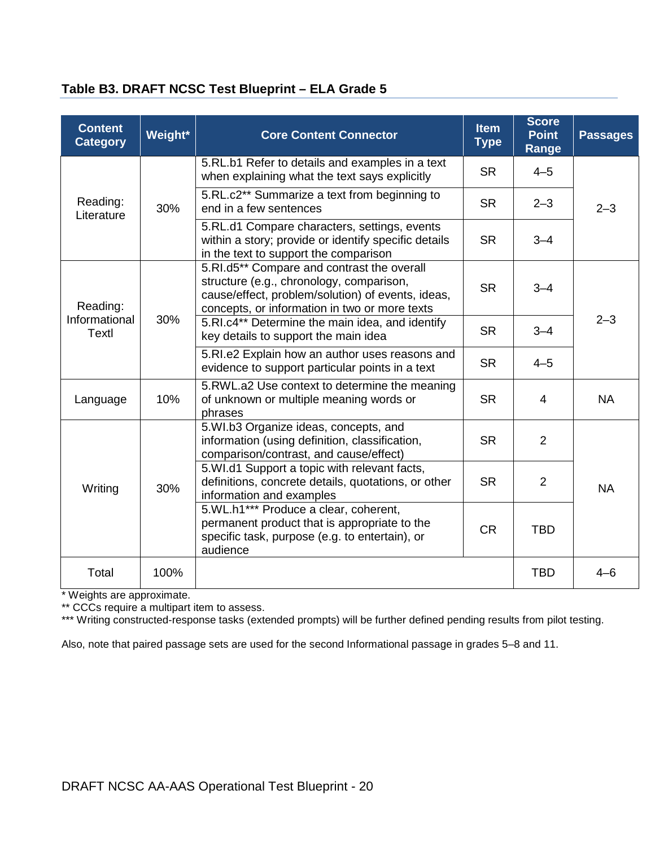#### **Table B3. DRAFT NCSC Test Blueprint – ELA Grade 5**

| <b>Content</b><br><b>Category</b>  | Weight* | <b>Core Content Connector</b>                                                                                                                                                                | <b>Item</b><br><b>Type</b> | <b>Score</b><br><b>Point</b><br>Range | <b>Passages</b> |
|------------------------------------|---------|----------------------------------------------------------------------------------------------------------------------------------------------------------------------------------------------|----------------------------|---------------------------------------|-----------------|
| Reading:<br>Literature             | 30%     | 5.RL.b1 Refer to details and examples in a text<br>when explaining what the text says explicitly                                                                                             | <b>SR</b>                  | $4 - 5$                               | $2 - 3$         |
|                                    |         | 5.RL.c2** Summarize a text from beginning to<br>end in a few sentences                                                                                                                       | <b>SR</b>                  | $2 - 3$                               |                 |
|                                    |         | 5.RL.d1 Compare characters, settings, events<br>within a story; provide or identify specific details<br>in the text to support the comparison                                                | <b>SR</b>                  | $3 - 4$                               |                 |
| Reading:<br>Informational<br>Textl | 30%     | 5.RI.d5** Compare and contrast the overall<br>structure (e.g., chronology, comparison,<br>cause/effect, problem/solution) of events, ideas,<br>concepts, or information in two or more texts | <b>SR</b>                  | $3 - 4$                               | $2 - 3$         |
|                                    |         | 5.RI.c4** Determine the main idea, and identify<br>key details to support the main idea                                                                                                      | <b>SR</b>                  | $3 - 4$                               |                 |
|                                    |         | 5.RI.e2 Explain how an author uses reasons and<br>evidence to support particular points in a text                                                                                            | <b>SR</b>                  | $4 - 5$                               |                 |
| Language                           | 10%     | 5.RWL.a2 Use context to determine the meaning<br>of unknown or multiple meaning words or<br>phrases                                                                                          | <b>SR</b>                  | 4                                     | <b>NA</b>       |
| Writing                            | 30%     | 5. WI.b3 Organize ideas, concepts, and<br>information (using definition, classification,<br>comparison/contrast, and cause/effect)                                                           | <b>SR</b>                  | $\overline{2}$                        |                 |
|                                    |         | 5. WI.d1 Support a topic with relevant facts,<br>definitions, concrete details, quotations, or other<br>information and examples                                                             | <b>SR</b>                  | $\overline{2}$                        | <b>NA</b>       |
|                                    |         | 5. WL.h1*** Produce a clear, coherent,<br>permanent product that is appropriate to the<br>specific task, purpose (e.g. to entertain), or<br>audience                                         | <b>CR</b>                  | <b>TBD</b>                            |                 |
| Total                              | 100%    |                                                                                                                                                                                              |                            | <b>TBD</b>                            | $4 - 6$         |

\* Weights are approximate.

\*\* CCCs require a multipart item to assess.

\*\*\* Writing constructed-response tasks (extended prompts) will be further defined pending results from pilot testing.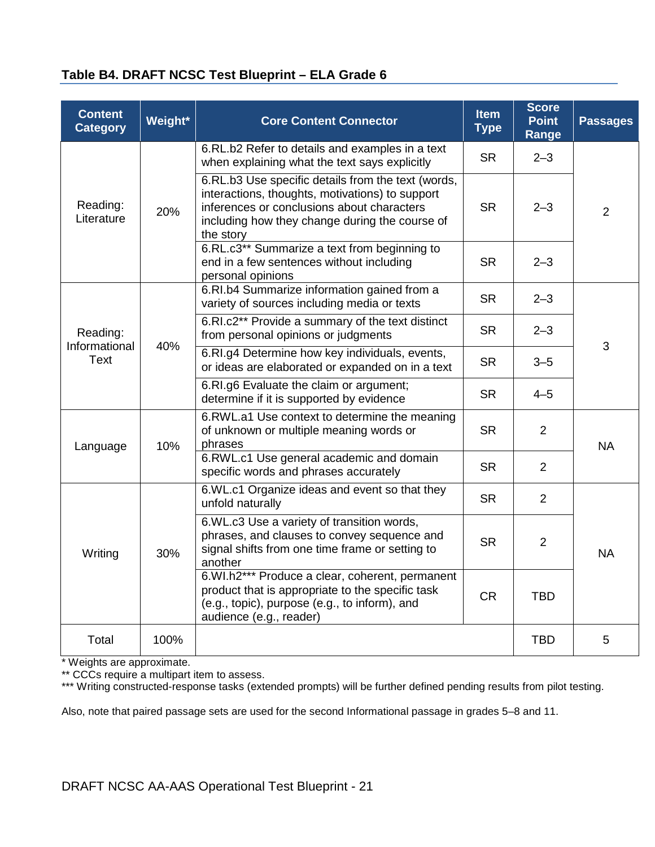### **Table B4. DRAFT NCSC Test Blueprint – ELA Grade 6**

| <b>Content</b><br><b>Category</b> | Weight* | <b>Core Content Connector</b>                                                                                                                                                                                      | <b>Item</b><br><b>Type</b> | <b>Score</b><br><b>Point</b><br>Range | <b>Passages</b> |
|-----------------------------------|---------|--------------------------------------------------------------------------------------------------------------------------------------------------------------------------------------------------------------------|----------------------------|---------------------------------------|-----------------|
| Reading:<br>Literature            | 20%     | 6.RL.b2 Refer to details and examples in a text<br>when explaining what the text says explicitly                                                                                                                   | <b>SR</b>                  | $2 - 3$                               | $\overline{2}$  |
|                                   |         | 6.RL.b3 Use specific details from the text (words,<br>interactions, thoughts, motivations) to support<br>inferences or conclusions about characters<br>including how they change during the course of<br>the story | <b>SR</b>                  | $2 - 3$                               |                 |
|                                   |         | 6.RL.c3** Summarize a text from beginning to<br>end in a few sentences without including<br>personal opinions                                                                                                      | <b>SR</b>                  | $2 - 3$                               |                 |
|                                   |         | 6.RI.b4 Summarize information gained from a<br>variety of sources including media or texts                                                                                                                         | <b>SR</b>                  | $2 - 3$                               | 3               |
| Reading:                          | 40%     | 6.RI.c2** Provide a summary of the text distinct<br>from personal opinions or judgments                                                                                                                            | <b>SR</b>                  | $2 - 3$                               |                 |
| Informational<br><b>Text</b>      |         | 6.RI.g4 Determine how key individuals, events,<br>or ideas are elaborated or expanded on in a text                                                                                                                 | <b>SR</b>                  | $3 - 5$                               |                 |
|                                   |         | 6.RI.g6 Evaluate the claim or argument;<br>determine if it is supported by evidence                                                                                                                                | <b>SR</b>                  | $4 - 5$                               |                 |
| Language                          | 10%     | 6.RWL.a1 Use context to determine the meaning<br>of unknown or multiple meaning words or<br>phrases                                                                                                                | <b>SR</b>                  | $\overline{2}$                        | <b>NA</b>       |
|                                   |         | 6.RWL.c1 Use general academic and domain<br>specific words and phrases accurately                                                                                                                                  | <b>SR</b>                  | $\overline{2}$                        |                 |
| Writing                           | 30%     | 6.WL.c1 Organize ideas and event so that they<br>unfold naturally                                                                                                                                                  | <b>SR</b>                  | $\overline{2}$                        | <b>NA</b>       |
|                                   |         | 6.WL.c3 Use a variety of transition words,<br>phrases, and clauses to convey sequence and<br>signal shifts from one time frame or setting to<br>another                                                            | <b>SR</b>                  | $\overline{2}$                        |                 |
|                                   |         | 6. WI.h2*** Produce a clear, coherent, permanent<br>product that is appropriate to the specific task<br>(e.g., topic), purpose (e.g., to inform), and<br>audience (e.g., reader)                                   | <b>CR</b>                  | <b>TBD</b>                            |                 |
| Total                             | 100%    |                                                                                                                                                                                                                    |                            | <b>TBD</b>                            | 5               |

\* Weights are approximate.

\*\* CCCs require a multipart item to assess.

\*\*\* Writing constructed-response tasks (extended prompts) will be further defined pending results from pilot testing.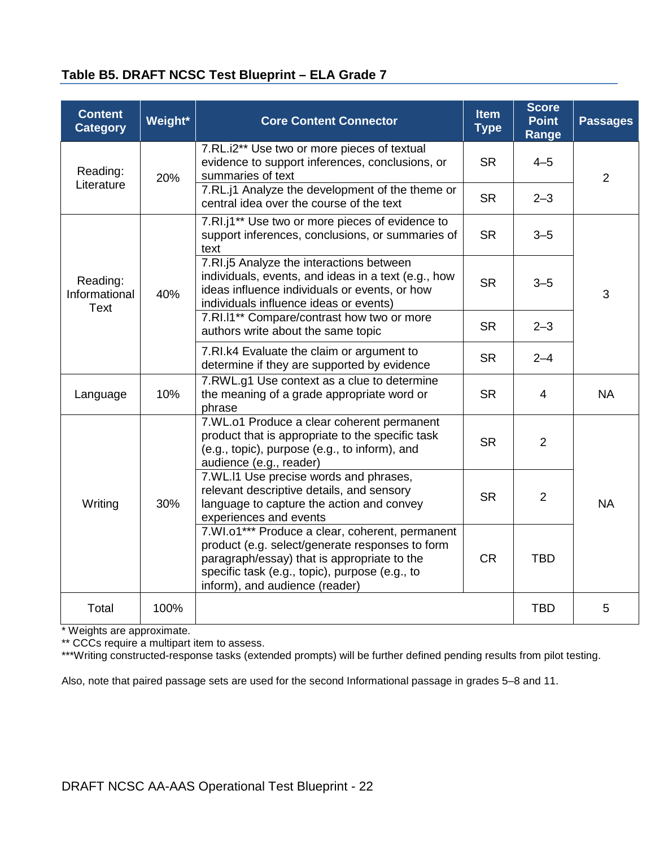### **Table B5. DRAFT NCSC Test Blueprint – ELA Grade 7**

| <b>Content</b><br><b>Category</b>        | Weight* | <b>Core Content Connector</b>                                                                                                                                                                                                           | <b>Item</b><br><b>Type</b> | <b>Score</b><br><b>Point</b><br>Range | <b>Passages</b> |
|------------------------------------------|---------|-----------------------------------------------------------------------------------------------------------------------------------------------------------------------------------------------------------------------------------------|----------------------------|---------------------------------------|-----------------|
| Reading:<br>Literature                   | 20%     | 7.RL.i2** Use two or more pieces of textual<br>evidence to support inferences, conclusions, or<br>summaries of text                                                                                                                     | <b>SR</b>                  | $4 - 5$                               | 2               |
|                                          |         | 7.RL.j1 Analyze the development of the theme or<br>central idea over the course of the text                                                                                                                                             | <b>SR</b>                  | $2 - 3$                               |                 |
| Reading:<br>Informational<br><b>Text</b> |         | 7.RI.j1** Use two or more pieces of evidence to<br>support inferences, conclusions, or summaries of<br>text                                                                                                                             | <b>SR</b>                  | $3 - 5$                               | 3               |
|                                          | 40%     | 7.RI.j5 Analyze the interactions between<br>individuals, events, and ideas in a text (e.g., how<br>ideas influence individuals or events, or how<br>individuals influence ideas or events)                                              | <b>SR</b>                  | $3 - 5$                               |                 |
|                                          |         | 7.RI.I1** Compare/contrast how two or more<br>authors write about the same topic                                                                                                                                                        | <b>SR</b>                  | $2 - 3$                               |                 |
|                                          |         | 7.RI.k4 Evaluate the claim or argument to<br>determine if they are supported by evidence                                                                                                                                                | <b>SR</b>                  | $2 - 4$                               |                 |
| Language                                 | 10%     | 7.RWL.g1 Use context as a clue to determine<br>the meaning of a grade appropriate word or<br>phrase                                                                                                                                     | <b>SR</b>                  | $\overline{4}$                        | <b>NA</b>       |
| Writing                                  |         | 7.WL.o1 Produce a clear coherent permanent<br>product that is appropriate to the specific task<br>(e.g., topic), purpose (e.g., to inform), and<br>audience (e.g., reader)                                                              | <b>SR</b>                  | $\overline{2}$                        |                 |
|                                          | 30%     | 7.WL.I1 Use precise words and phrases,<br>relevant descriptive details, and sensory<br>language to capture the action and convey<br>experiences and events                                                                              | <b>SR</b>                  | $\overline{2}$                        | <b>NA</b>       |
|                                          |         | 7. WI. o1*** Produce a clear, coherent, permanent<br>product (e.g. select/generate responses to form<br>paragraph/essay) that is appropriate to the<br>specific task (e.g., topic), purpose (e.g., to<br>inform), and audience (reader) | <b>CR</b>                  | <b>TBD</b>                            |                 |
| Total                                    | 100%    |                                                                                                                                                                                                                                         |                            | <b>TBD</b>                            | 5               |

\* Weights are approximate.

\*\* CCCs require a multipart item to assess.

\*\*\*Writing constructed-response tasks (extended prompts) will be further defined pending results from pilot testing.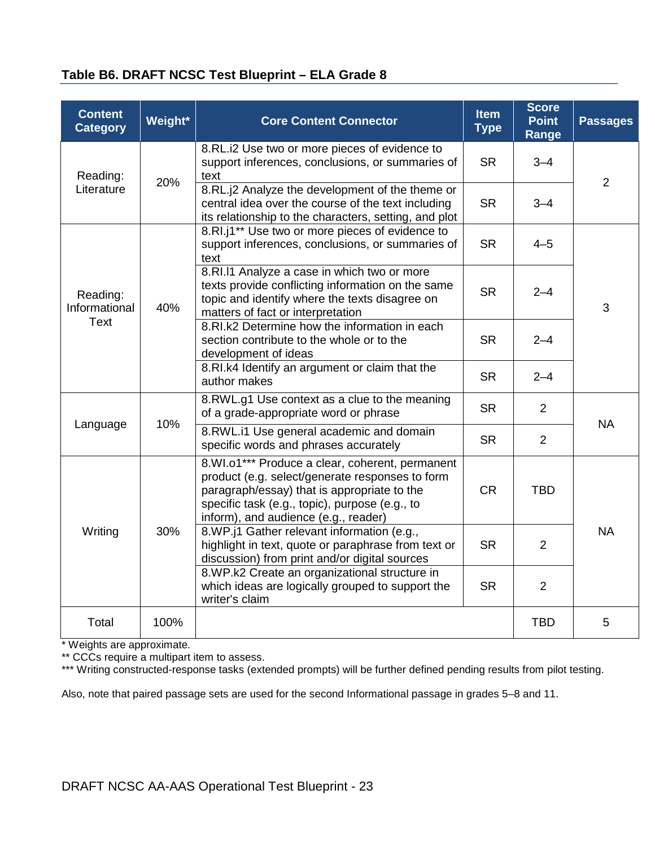### **Table B6. DRAFT NCSC Test Blueprint – ELA Grade 8**

| <b>Content</b><br><b>Category</b>        | Weight* | <b>Core Content Connector</b>                                                                                                                                                                                                                 | <b>Item</b><br><b>Type</b> | <b>Score</b><br><b>Point</b><br>Range | <b>Passages</b> |
|------------------------------------------|---------|-----------------------------------------------------------------------------------------------------------------------------------------------------------------------------------------------------------------------------------------------|----------------------------|---------------------------------------|-----------------|
| Reading:<br>Literature                   | 20%     | 8.RL.i2 Use two or more pieces of evidence to<br>support inferences, conclusions, or summaries of<br>text                                                                                                                                     | <b>SR</b>                  | $3 - 4$                               | $\overline{2}$  |
|                                          |         | 8.RL.j2 Analyze the development of the theme or<br>central idea over the course of the text including<br>its relationship to the characters, setting, and plot                                                                                | <b>SR</b>                  | $3 - 4$                               |                 |
| Reading:<br>Informational<br><b>Text</b> |         | 8.RI.j1** Use two or more pieces of evidence to<br>support inferences, conclusions, or summaries of<br>text                                                                                                                                   | <b>SR</b>                  | $4 - 5$                               | 3               |
|                                          | 40%     | 8.RI.I1 Analyze a case in which two or more<br>texts provide conflicting information on the same<br>topic and identify where the texts disagree on<br>matters of fact or interpretation                                                       | <b>SR</b>                  | $2 - 4$                               |                 |
|                                          |         | 8.RI.k2 Determine how the information in each<br>section contribute to the whole or to the<br>development of ideas                                                                                                                            | <b>SR</b>                  | $2 - 4$                               |                 |
|                                          |         | 8.RI.k4 Identify an argument or claim that the<br>author makes                                                                                                                                                                                | <b>SR</b>                  | $2 - 4$                               |                 |
| Language                                 | 10%     | 8.RWL.g1 Use context as a clue to the meaning<br>of a grade-appropriate word or phrase                                                                                                                                                        | <b>SR</b>                  | $\overline{2}$                        |                 |
|                                          |         | 8.RWL.i1 Use general academic and domain<br>specific words and phrases accurately                                                                                                                                                             | <b>SR</b>                  | $\overline{2}$                        | <b>NA</b>       |
| Writing                                  | 30%     | 8. WI. o1*** Produce a clear, coherent, permanent<br>product (e.g. select/generate responses to form<br>paragraph/essay) that is appropriate to the<br>specific task (e.g., topic), purpose (e.g., to<br>inform), and audience (e.g., reader) | <b>CR</b>                  | <b>TBD</b>                            |                 |
|                                          |         | 8.WP.j1 Gather relevant information (e.g.,<br>highlight in text, quote or paraphrase from text or<br>discussion) from print and/or digital sources                                                                                            | <b>SR</b>                  | $\overline{2}$                        | <b>NA</b>       |
|                                          |         | 8.WP.k2 Create an organizational structure in<br>which ideas are logically grouped to support the<br>writer's claim                                                                                                                           | <b>SR</b>                  | $\overline{2}$                        |                 |
| Total                                    | 100%    |                                                                                                                                                                                                                                               |                            | <b>TBD</b>                            | 5               |

\* Weights are approximate.

\*\* CCCs require a multipart item to assess.

\*\*\* Writing constructed-response tasks (extended prompts) will be further defined pending results from pilot testing.